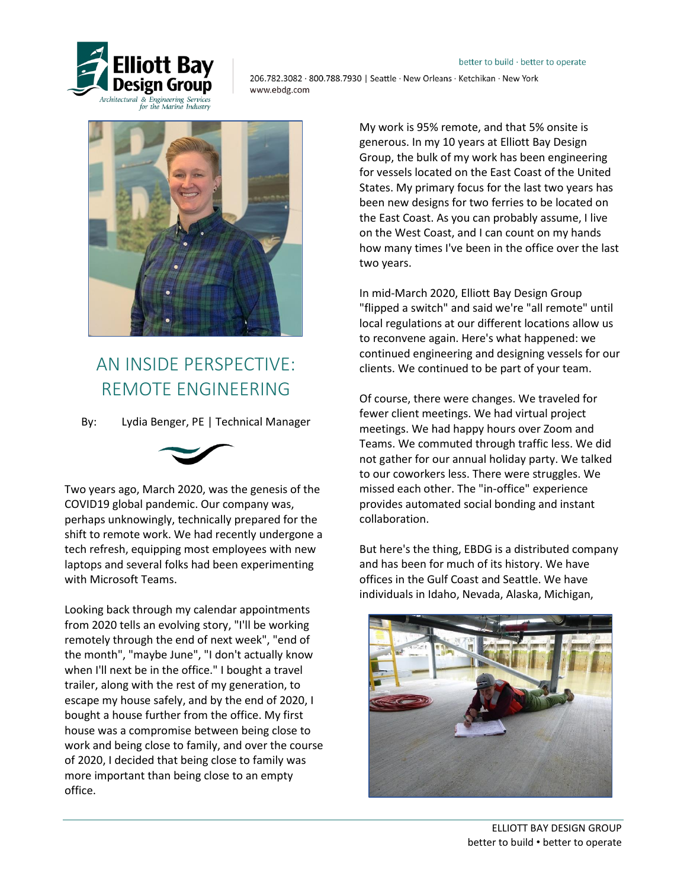

206.782.3082 800.788.7930 | Seattle New Orleans · Ketchikan · New York www.ebdg.com



## AN INSIDE PERSPECTIVE: REMOTE ENGINEERING

By: Lydia Benger, PE | Technical Manager



Two years ago, March 2020, was the genesis of the COVID19 global pandemic. Our company was, perhaps unknowingly, technically prepared for the shift to remote work. We had recently undergone a tech refresh, equipping most employees with new laptops and several folks had been experimenting with Microsoft Teams.

Looking back through my calendar appointments from 2020 tells an evolving story, "I'll be working remotely through the end of next week", "end of the month", "maybe June", "I don't actually know when I'll next be in the office." I bought a travel trailer, along with the rest of my generation, to escape my house safely, and by the end of 2020, I bought a house further from the office. My first house was a compromise between being close to work and being close to family, and over the course of 2020, I decided that being close to family was more important than being close to an empty office.

My work is 95% remote, and that 5% onsite is generous. In my 10 years at Elliott Bay Design Group, the bulk of my work has been engineering for vessels located on the East Coast of the United States. My primary focus for the last two years has been new designs for two ferries to be located on the East Coast. As you can probably assume, I live on the West Coast, and I can count on my hands how many times I've been in the office over the last two years.

In mid-March 2020, Elliott Bay Design Group "flipped a switch" and said we're "all remote" until local regulations at our different locations allow us to reconvene again. Here's what happened: we continued engineering and designing vessels for our clients. We continued to be part of your team.

Of course, there were changes. We traveled for fewer client meetings. We had virtual project meetings. We had happy hours over Zoom and Teams. We commuted through traffic less. We did not gather for our annual holiday party. We talked to our coworkers less. There were struggles. We missed each other. The "in-office" experience provides automated social bonding and instant collaboration.

But here's the thing, EBDG is a distributed company and has been for much of its history. We have offices in the Gulf Coast and Seattle. We have individuals in Idaho, Nevada, Alaska, Michigan,

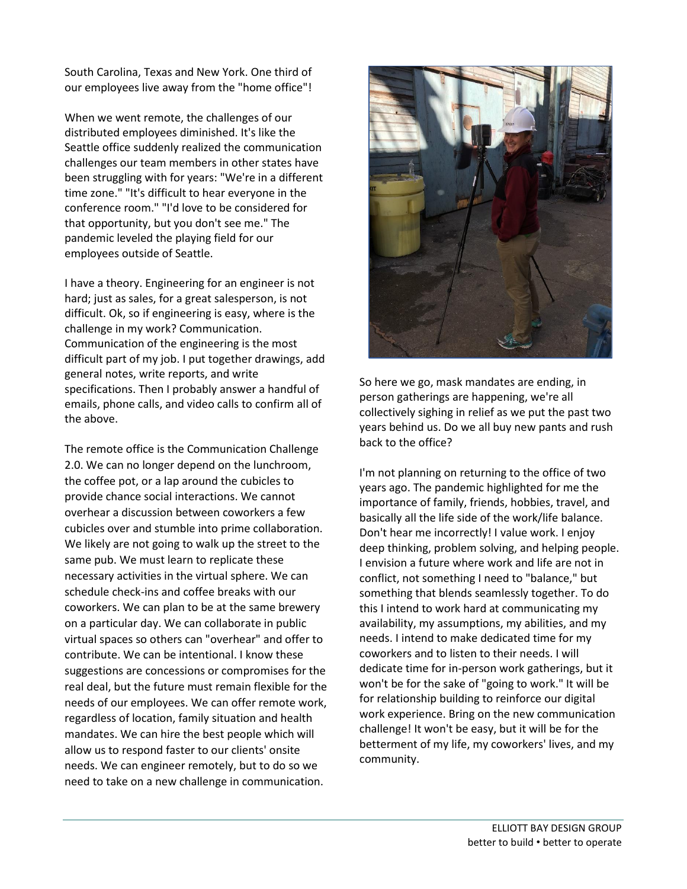South Carolina, Texas and New York. One third of our employees live away from the "home office"!

When we went remote, the challenges of our distributed employees diminished. It's like the Seattle office suddenly realized the communication challenges our team members in other states have been struggling with for years: "We're in a different time zone." "It's difficult to hear everyone in the conference room." "I'd love to be considered for that opportunity, but you don't see me." The pandemic leveled the playing field for our employees outside of Seattle.

I have a theory. Engineering for an engineer is not hard; just as sales, for a great salesperson, is not difficult. Ok, so if engineering is easy, where is the challenge in my work? Communication. Communication of the engineering is the most difficult part of my job. I put together drawings, add general notes, write reports, and write specifications. Then I probably answer a handful of emails, phone calls, and video calls to confirm all of the above.

The remote office is the Communication Challenge 2.0. We can no longer depend on the lunchroom, the coffee pot, or a lap around the cubicles to provide chance social interactions. We cannot overhear a discussion between coworkers a few cubicles over and stumble into prime collaboration. We likely are not going to walk up the street to the same pub. We must learn to replicate these necessary activities in the virtual sphere. We can schedule check-ins and coffee breaks with our coworkers. We can plan to be at the same brewery on a particular day. We can collaborate in public virtual spaces so others can "overhear" and offer to contribute. We can be intentional. I know these suggestions are concessions or compromises for the real deal, but the future must remain flexible for the needs of our employees. We can offer remote work, regardless of location, family situation and health mandates. We can hire the best people which will allow us to respond faster to our clients' onsite needs. We can engineer remotely, but to do so we need to take on a new challenge in communication.



So here we go, mask mandates are ending, in person gatherings are happening, we're all collectively sighing in relief as we put the past two years behind us. Do we all buy new pants and rush back to the office?

I'm not planning on returning to the office of two years ago. The pandemic highlighted for me the importance of family, friends, hobbies, travel, and basically all the life side of the work/life balance. Don't hear me incorrectly! I value work. I enjoy deep thinking, problem solving, and helping people. I envision a future where work and life are not in conflict, not something I need to "balance," but something that blends seamlessly together. To do this I intend to work hard at communicating my availability, my assumptions, my abilities, and my needs. I intend to make dedicated time for my coworkers and to listen to their needs. I will dedicate time for in-person work gatherings, but it won't be for the sake of "going to work." It will be for relationship building to reinforce our digital work experience. Bring on the new communication challenge! It won't be easy, but it will be for the betterment of my life, my coworkers' lives, and my community.